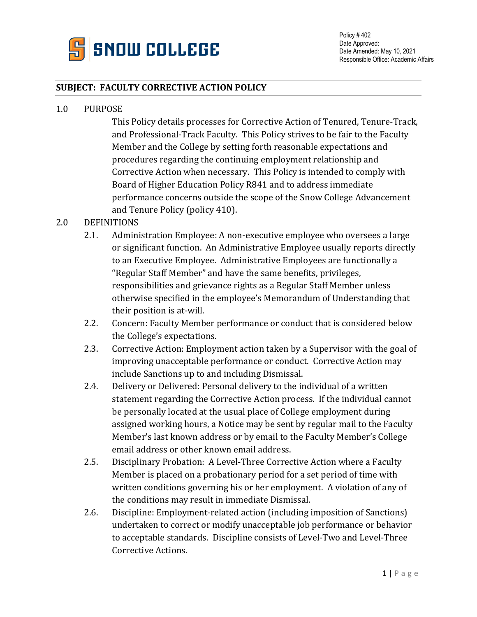

## **SUBJECT: FACULTY CORRECTIVE ACTION POLICY**

#### 1.0 PURPOSE

This Policy details processes for Corrective Action of Tenured, Tenure-Track, and Professional-Track Faculty. This Policy strives to be fair to the Faculty Member and the College by setting forth reasonable expectations and procedures regarding the continuing employment relationship and Corrective Action when necessary. This Policy is intended to comply with Board of Higher Education Policy R841 and to address immediate performance concerns outside the scope of the Snow College Advancement and Tenure Policy (policy 410).

## 2.0 DEFINITIONS

- 2.1. Administration Employee: A non-executive employee who oversees a large or significant function. An Administrative Employee usually reports directly to an Executive Employee. Administrative Employees are functionally a "Regular Staff Member" and have the same benefits, privileges, responsibilities and grievance rights as a Regular Staff Member unless otherwise specified in the employee's Memorandum of Understanding that their position is at-will.
- 2.2. Concern: Faculty Member performance or conduct that is considered below the College's expectations.
- 2.3. Corrective Action: Employment action taken by a Supervisor with the goal of improving unacceptable performance or conduct. Corrective Action may include Sanctions up to and including Dismissal.
- 2.4. Delivery or Delivered: Personal delivery to the individual of a written statement regarding the Corrective Action process. If the individual cannot be personally located at the usual place of College employment during assigned working hours, a Notice may be sent by regular mail to the Faculty Member's last known address or by email to the Faculty Member's College email address or other known email address.
- 2.5. Disciplinary Probation: A Level-Three Corrective Action where a Faculty Member is placed on a probationary period for a set period of time with written conditions governing his or her employment. A violation of any of the conditions may result in immediate Dismissal.
- 2.6. Discipline: Employment-related action (including imposition of Sanctions) undertaken to correct or modify unacceptable job performance or behavior to acceptable standards. Discipline consists of Level-Two and Level-Three Corrective Actions.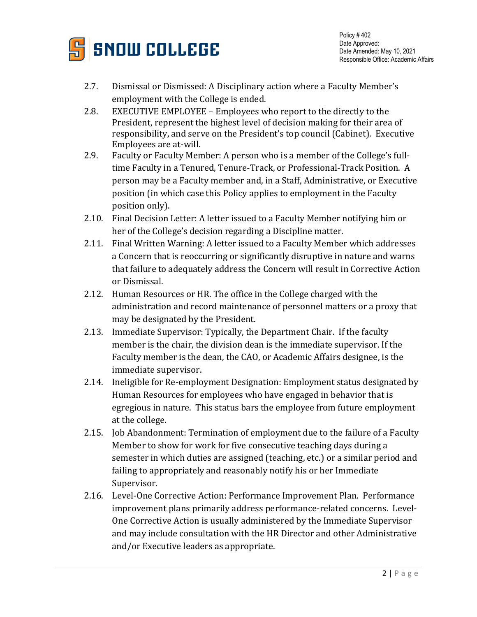

- 2.7. Dismissal or Dismissed: A Disciplinary action where a Faculty Member's employment with the College is ended.
- 2.8. EXECUTIVE EMPLOYEE Employees who report to the directly to the President, represent the highest level of decision making for their area of responsibility, and serve on the President's top council (Cabinet). Executive Employees are at-will.
- 2.9. Faculty or Faculty Member: A person who is a member of the College's fulltime Faculty in a Tenured, Tenure-Track, or Professional-Track Position. A person may be a Faculty member and, in a Staff, Administrative, or Executive position (in which case this Policy applies to employment in the Faculty position only).
- 2.10. Final Decision Letter: A letter issued to a Faculty Member notifying him or her of the College's decision regarding a Discipline matter.
- 2.11. Final Written Warning: A letter issued to a Faculty Member which addresses a Concern that is reoccurring or significantly disruptive in nature and warns that failure to adequately address the Concern will result in Corrective Action or Dismissal.
- 2.12. Human Resources or HR. The office in the College charged with the administration and record maintenance of personnel matters or a proxy that may be designated by the President.
- 2.13. Immediate Supervisor: Typically, the Department Chair. If the faculty member is the chair, the division dean is the immediate supervisor. If the Faculty member is the dean, the CAO, or Academic Affairs designee, is the immediate supervisor.
- 2.14. Ineligible for Re-employment Designation: Employment status designated by Human Resources for employees who have engaged in behavior that is egregious in nature. This status bars the employee from future employment at the college.
- 2.15. Job Abandonment: Termination of employment due to the failure of a Faculty Member to show for work for five consecutive teaching days during a semester in which duties are assigned (teaching, etc.) or a similar period and failing to appropriately and reasonably notify his or her Immediate Supervisor.
- 2.16. Level-One Corrective Action: Performance Improvement Plan. Performance improvement plans primarily address performance-related concerns. Level-One Corrective Action is usually administered by the Immediate Supervisor and may include consultation with the HR Director and other Administrative and/or Executive leaders as appropriate.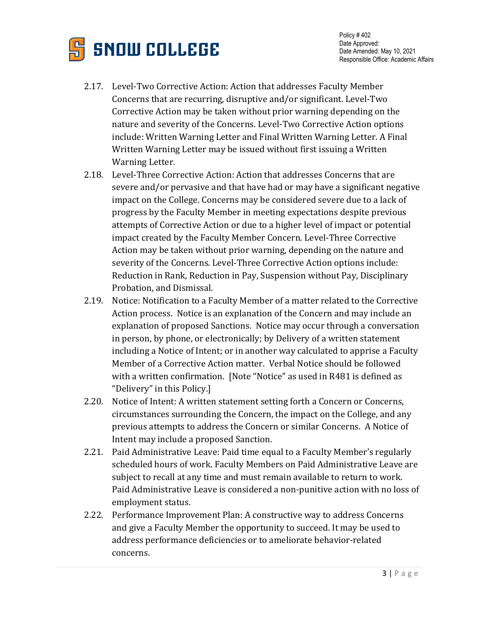

- 2.17. Level-Two Corrective Action: Action that addresses Faculty Member Concerns that are recurring, disruptive and/or significant. Level-Two Corrective Action may be taken without prior warning depending on the nature and severity of the Concerns. Level-Two Corrective Action options include: Written Warning Letter and Final Written Warning Letter. A Final Written Warning Letter may be issued without first issuing a Written Warning Letter.
- 2.18. Level-Three Corrective Action: Action that addresses Concerns that are severe and/or pervasive and that have had or may have a significant negative impact on the College. Concerns may be considered severe due to a lack of progress by the Faculty Member in meeting expectations despite previous attempts of Corrective Action or due to a higher level of impact or potential impact created by the Faculty Member Concern. Level-Three Corrective Action may be taken without prior warning, depending on the nature and severity of the Concerns. Level-Three Corrective Action options include: Reduction in Rank, Reduction in Pay, Suspension without Pay, Disciplinary Probation, and Dismissal.
- 2.19. Notice: Notification to a Faculty Member of a matter related to the Corrective Action process. Notice is an explanation of the Concern and may include an explanation of proposed Sanctions. Notice may occur through a conversation in person, by phone, or electronically; by Delivery of a written statement including a Notice of Intent; or in another way calculated to apprise a Faculty Member of a Corrective Action matter. Verbal Notice should be followed with a written confirmation. [Note "Notice" as used in R481 is defined as "Delivery" in this Policy.]
- 2.20. Notice of Intent: A written statement setting forth a Concern or Concerns, circumstances surrounding the Concern, the impact on the College, and any previous attempts to address the Concern or similar Concerns. A Notice of Intent may include a proposed Sanction.
- 2.21. Paid Administrative Leave: Paid time equal to a Faculty Member's regularly scheduled hours of work. Faculty Members on Paid Administrative Leave are subject to recall at any time and must remain available to return to work. Paid Administrative Leave is considered a non-punitive action with no loss of employment status.
- 2.22. Performance Improvement Plan: A constructive way to address Concerns and give a Faculty Member the opportunity to succeed. It may be used to address performance deficiencies or to ameliorate behavior-related concerns.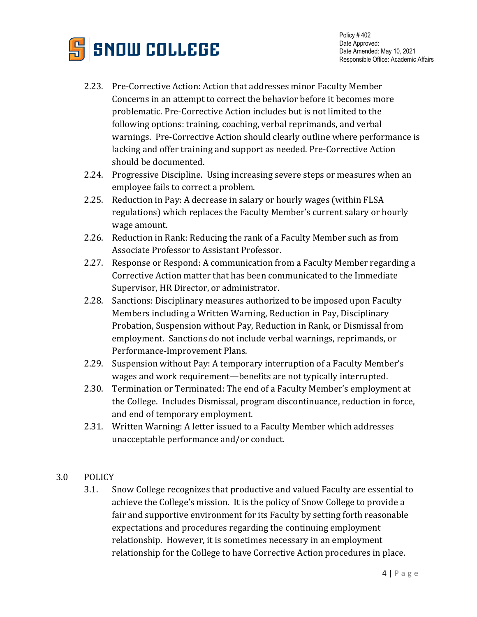

- 2.23. Pre-Corrective Action: Action that addresses minor Faculty Member Concerns in an attempt to correct the behavior before it becomes more problematic. Pre-Corrective Action includes but is not limited to the following options: training, coaching, verbal reprimands, and verbal warnings. Pre-Corrective Action should clearly outline where performance is lacking and offer training and support as needed. Pre-Corrective Action should be documented.
- 2.24. Progressive Discipline. Using increasing severe steps or measures when an employee fails to correct a problem.
- 2.25. Reduction in Pay: A decrease in salary or hourly wages (within FLSA regulations) which replaces the Faculty Member's current salary or hourly wage amount.
- 2.26. Reduction in Rank: Reducing the rank of a Faculty Member such as from Associate Professor to Assistant Professor.
- 2.27. Response or Respond: A communication from a Faculty Member regarding a Corrective Action matter that has been communicated to the Immediate Supervisor, HR Director, or administrator.
- 2.28. Sanctions: Disciplinary measures authorized to be imposed upon Faculty Members including a Written Warning, Reduction in Pay, Disciplinary Probation, Suspension without Pay, Reduction in Rank, or Dismissal from employment. Sanctions do not include verbal warnings, reprimands, or Performance-Improvement Plans.
- 2.29. Suspension without Pay: A temporary interruption of a Faculty Member's wages and work requirement—benefits are not typically interrupted.
- 2.30. Termination or Terminated: The end of a Faculty Member's employment at the College. Includes Dismissal, program discontinuance, reduction in force, and end of temporary employment.
- 2.31. Written Warning: A letter issued to a Faculty Member which addresses unacceptable performance and/or conduct.
- 3.0 POLICY
	- 3.1. Snow College recognizes that productive and valued Faculty are essential to achieve the College's mission. It is the policy of Snow College to provide a fair and supportive environment for its Faculty by setting forth reasonable expectations and procedures regarding the continuing employment relationship. However, it is sometimes necessary in an employment relationship for the College to have Corrective Action procedures in place.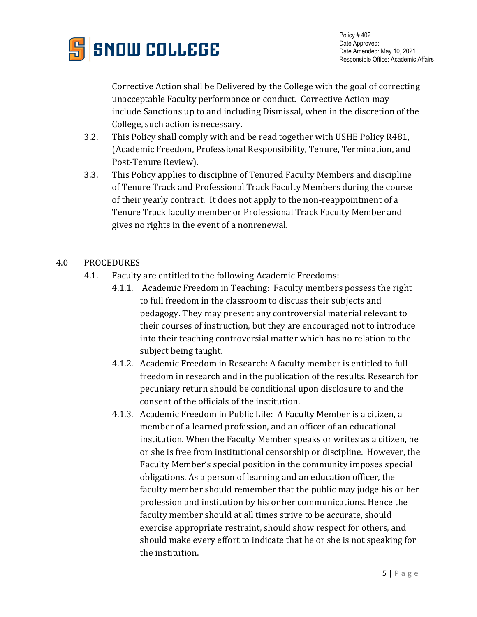

Corrective Action shall be Delivered by the College with the goal of correcting unacceptable Faculty performance or conduct. Corrective Action may include Sanctions up to and including Dismissal, when in the discretion of the College, such action is necessary.

- 3.2. This Policy shall comply with and be read together with USHE Policy R481, (Academic Freedom, Professional Responsibility, Tenure, Termination, and Post-Tenure Review).
- 3.3. This Policy applies to discipline of Tenured Faculty Members and discipline of Tenure Track and Professional Track Faculty Members during the course of their yearly contract. It does not apply to the non-reappointment of a Tenure Track faculty member or Professional Track Faculty Member and gives no rights in the event of a nonrenewal.

#### 4.0 PROCEDURES

- 4.1. Faculty are entitled to the following Academic Freedoms:
	- 4.1.1. Academic Freedom in Teaching: Faculty members possess the right to full freedom in the classroom to discuss their subjects and pedagogy. They may present any controversial material relevant to their courses of instruction, but they are encouraged not to introduce into their teaching controversial matter which has no relation to the subject being taught.
	- 4.1.2. Academic Freedom in Research: A faculty member is entitled to full freedom in research and in the publication of the results. Research for pecuniary return should be conditional upon disclosure to and the consent of the officials of the institution.
	- 4.1.3. Academic Freedom in Public Life: A Faculty Member is a citizen, a member of a learned profession, and an officer of an educational institution. When the Faculty Member speaks or writes as a citizen, he or she is free from institutional censorship or discipline. However, the Faculty Member's special position in the community imposes special obligations. As a person of learning and an education officer, the faculty member should remember that the public may judge his or her profession and institution by his or her communications. Hence the faculty member should at all times strive to be accurate, should exercise appropriate restraint, should show respect for others, and should make every effort to indicate that he or she is not speaking for the institution.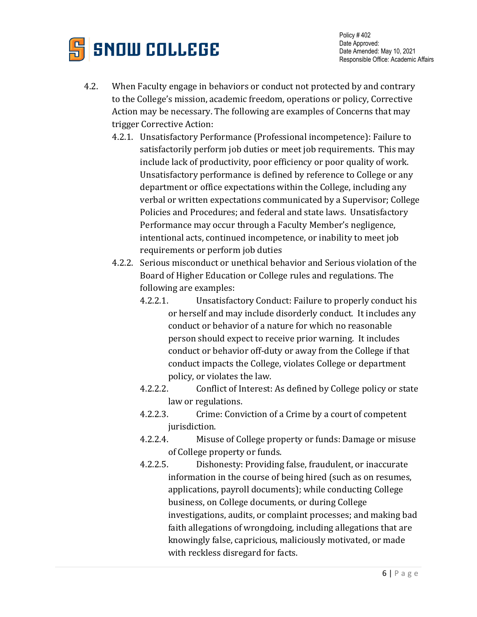

- 4.2. When Faculty engage in behaviors or conduct not protected by and contrary to the College's mission, academic freedom, operations or policy, Corrective Action may be necessary. The following are examples of Concerns that may trigger Corrective Action:
	- 4.2.1. Unsatisfactory Performance (Professional incompetence): Failure to satisfactorily perform job duties or meet job requirements. This may include lack of productivity, poor efficiency or poor quality of work. Unsatisfactory performance is defined by reference to College or any department or office expectations within the College, including any verbal or written expectations communicated by a Supervisor; College Policies and Procedures; and federal and state laws. Unsatisfactory Performance may occur through a Faculty Member's negligence, intentional acts, continued incompetence, or inability to meet job requirements or perform job duties
	- 4.2.2. Serious misconduct or unethical behavior and Serious violation of the Board of Higher Education or College rules and regulations. The following are examples:
		- 4.2.2.1. Unsatisfactory Conduct: Failure to properly conduct his or herself and may include disorderly conduct. It includes any conduct or behavior of a nature for which no reasonable person should expect to receive prior warning. It includes conduct or behavior off-duty or away from the College if that conduct impacts the College, violates College or department policy, or violates the law.
		- 4.2.2.2. Conflict of Interest: As defined by College policy or state law or regulations.
		- 4.2.2.3. Crime: Conviction of a Crime by a court of competent jurisdiction.
		- 4.2.2.4. Misuse of College property or funds: Damage or misuse of College property or funds.
		- 4.2.2.5. Dishonesty: Providing false, fraudulent, or inaccurate information in the course of being hired (such as on resumes, applications, payroll documents); while conducting College business, on College documents, or during College investigations, audits, or complaint processes; and making bad faith allegations of wrongdoing, including allegations that are knowingly false, capricious, maliciously motivated, or made with reckless disregard for facts.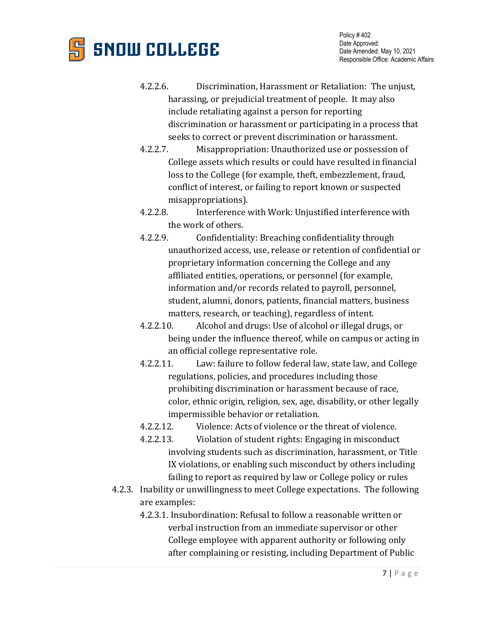

- 4.2.2.6. Discrimination, Harassment or Retaliation: The unjust, harassing, or prejudicial treatment of people. It may also include retaliating against a person for reporting discrimination or harassment or participating in a process that seeks to correct or prevent discrimination or harassment.
- 4.2.2.7. Misappropriation: Unauthorized use or possession of College assets which results or could have resulted in financial loss to the College (for example, theft, embezzlement, fraud, conflict of interest, or failing to report known or suspected misappropriations).
- 4.2.2.8. Interference with Work: Unjustified interference with the work of others.
- 4.2.2.9. Confidentiality: Breaching confidentiality through unauthorized access, use, release or retention of confidential or proprietary information concerning the College and any affiliated entities, operations, or personnel (for example, information and/or records related to payroll, personnel, student, alumni, donors, patients, financial matters, business matters, research, or teaching), regardless of intent.
- 4.2.2.10. Alcohol and drugs: Use of alcohol or illegal drugs, or being under the influence thereof, while on campus or acting in an official college representative role.
- 4.2.2.11. Law: failure to follow federal law, state law, and College regulations, policies, and procedures including those prohibiting discrimination or harassment because of race, color, ethnic origin, religion, sex, age, disability, or other legally impermissible behavior or retaliation.
- 4.2.2.12. Violence: Acts of violence or the threat of violence.
- 4.2.2.13. Violation of student rights: Engaging in misconduct involving students such as discrimination, harassment, or Title IX violations, or enabling such misconduct by others including failing to report as required by law or College policy or rules
- 4.2.3. Inability or unwillingness to meet College expectations. The following are examples:
	- 4.2.3.1. Insubordination: Refusal to follow a reasonable written or verbal instruction from an immediate supervisor or other College employee with apparent authority or following only after complaining or resisting, including Department of Public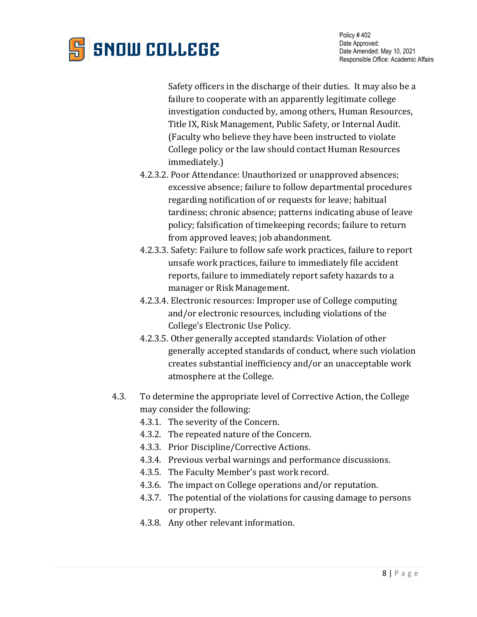

Safety officers in the discharge of their duties. It may also be a failure to cooperate with an apparently legitimate college investigation conducted by, among others, Human Resources, Title IX, Risk Management, Public Safety, or Internal Audit. (Faculty who believe they have been instructed to violate College policy or the law should contact Human Resources immediately.)

- 4.2.3.2. Poor Attendance: Unauthorized or unapproved absences; excessive absence; failure to follow departmental procedures regarding notification of or requests for leave; habitual tardiness; chronic absence; patterns indicating abuse of leave policy; falsification of timekeeping records; failure to return from approved leaves; job abandonment.
- 4.2.3.3. Safety: Failure to follow safe work practices, failure to report unsafe work practices, failure to immediately file accident reports, failure to immediately report safety hazards to a manager or Risk Management.
- 4.2.3.4. Electronic resources: Improper use of College computing and/or electronic resources, including violations of the College's Electronic Use Policy.
- 4.2.3.5. Other generally accepted standards: Violation of other generally accepted standards of conduct, where such violation creates substantial inefficiency and/or an unacceptable work atmosphere at the College.
- 4.3. To determine the appropriate level of Corrective Action, the College may consider the following:
	- 4.3.1. The severity of the Concern.
	- 4.3.2. The repeated nature of the Concern.
	- 4.3.3. Prior Discipline/Corrective Actions.
	- 4.3.4. Previous verbal warnings and performance discussions.
	- 4.3.5. The Faculty Member's past work record.
	- 4.3.6. The impact on College operations and/or reputation.
	- 4.3.7. The potential of the violations for causing damage to persons or property.
	- 4.3.8. Any other relevant information.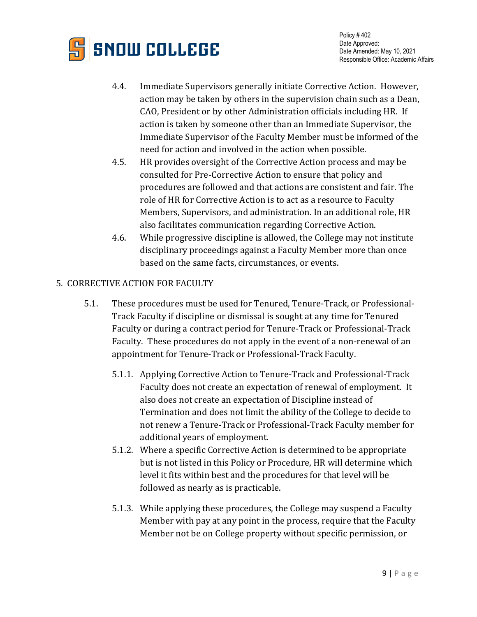

- 4.4. Immediate Supervisors generally initiate Corrective Action. However, action may be taken by others in the supervision chain such as a Dean, CAO, President or by other Administration officials including HR. If action is taken by someone other than an Immediate Supervisor, the Immediate Supervisor of the Faculty Member must be informed of the need for action and involved in the action when possible.
- 4.5. HR provides oversight of the Corrective Action process and may be consulted for Pre-Corrective Action to ensure that policy and procedures are followed and that actions are consistent and fair. The role of HR for Corrective Action is to act as a resource to Faculty Members, Supervisors, and administration. In an additional role, HR also facilitates communication regarding Corrective Action.
- 4.6. While progressive discipline is allowed, the College may not institute disciplinary proceedings against a Faculty Member more than once based on the same facts, circumstances, or events.

## 5. CORRECTIVE ACTION FOR FACULTY

- 5.1. These procedures must be used for Tenured, Tenure-Track, or Professional-Track Faculty if discipline or dismissal is sought at any time for Tenured Faculty or during a contract period for Tenure-Track or Professional-Track Faculty. These procedures do not apply in the event of a non-renewal of an appointment for Tenure-Track or Professional-Track Faculty.
	- 5.1.1. Applying Corrective Action to Tenure-Track and Professional-Track Faculty does not create an expectation of renewal of employment. It also does not create an expectation of Discipline instead of Termination and does not limit the ability of the College to decide to not renew a Tenure-Track or Professional-Track Faculty member for additional years of employment.
	- 5.1.2. Where a specific Corrective Action is determined to be appropriate but is not listed in this Policy or Procedure, HR will determine which level it fits within best and the procedures for that level will be followed as nearly as is practicable.
	- 5.1.3. While applying these procedures, the College may suspend a Faculty Member with pay at any point in the process, require that the Faculty Member not be on College property without specific permission, or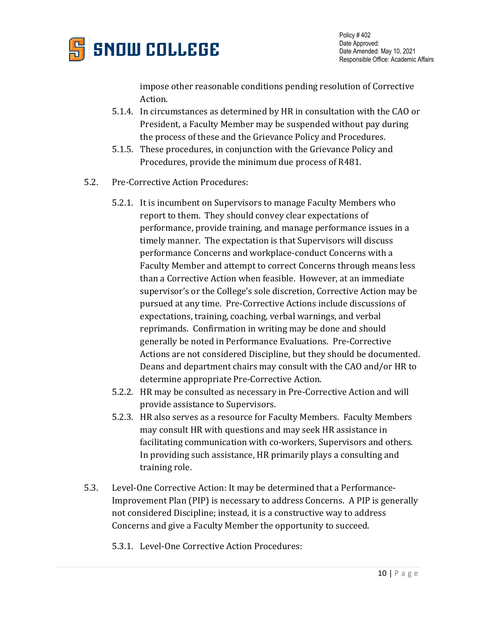

impose other reasonable conditions pending resolution of Corrective Action.

- 5.1.4. In circumstances as determined by HR in consultation with the CAO or President, a Faculty Member may be suspended without pay during the process of these and the Grievance Policy and Procedures.
- 5.1.5. These procedures, in conjunction with the Grievance Policy and Procedures, provide the minimum due process of R481.
- 5.2. Pre-Corrective Action Procedures:
	- 5.2.1. It is incumbent on Supervisors to manage Faculty Members who report to them. They should convey clear expectations of performance, provide training, and manage performance issues in a timely manner. The expectation is that Supervisors will discuss performance Concerns and workplace-conduct Concerns with a Faculty Member and attempt to correct Concerns through means less than a Corrective Action when feasible. However, at an immediate supervisor's or the College's sole discretion, Corrective Action may be pursued at any time. Pre-Corrective Actions include discussions of expectations, training, coaching, verbal warnings, and verbal reprimands. Confirmation in writing may be done and should generally be noted in Performance Evaluations. Pre-Corrective Actions are not considered Discipline, but they should be documented. Deans and department chairs may consult with the CAO and/or HR to determine appropriate Pre-Corrective Action.
	- 5.2.2. HR may be consulted as necessary in Pre-Corrective Action and will provide assistance to Supervisors.
	- 5.2.3. HR also serves as a resource for Faculty Members. Faculty Members may consult HR with questions and may seek HR assistance in facilitating communication with co-workers, Supervisors and others. In providing such assistance, HR primarily plays a consulting and training role.
- 5.3. Level-One Corrective Action: It may be determined that a Performance-Improvement Plan (PIP) is necessary to address Concerns. A PIP is generally not considered Discipline; instead, it is a constructive way to address Concerns and give a Faculty Member the opportunity to succeed.
	- 5.3.1. Level-One Corrective Action Procedures: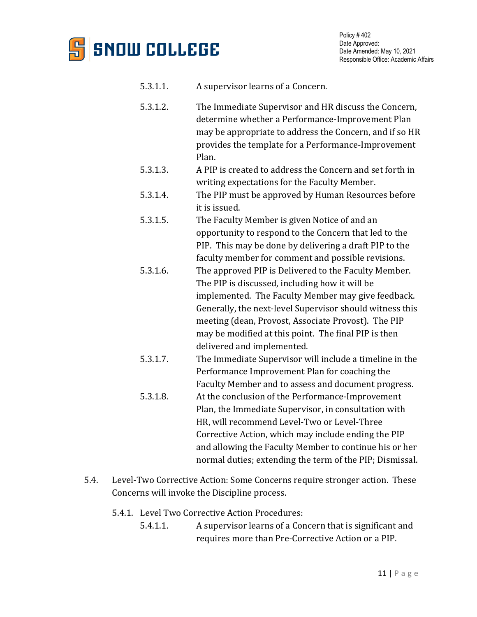

- 5.3.1.1. A supervisor learns of a Concern.
- 5.3.1.2. The Immediate Supervisor and HR discuss the Concern, determine whether a Performance-Improvement Plan may be appropriate to address the Concern, and if so HR provides the template for a Performance-Improvement Plan.
- 5.3.1.3. A PIP is created to address the Concern and set forth in writing expectations for the Faculty Member.
- 5.3.1.4. The PIP must be approved by Human Resources before it is issued.
- 5.3.1.5. The Faculty Member is given Notice of and an opportunity to respond to the Concern that led to the PIP. This may be done by delivering a draft PIP to the faculty member for comment and possible revisions.
- 5.3.1.6. The approved PIP is Delivered to the Faculty Member. The PIP is discussed, including how it will be implemented. The Faculty Member may give feedback. Generally, the next-level Supervisor should witness this meeting (dean, Provost, Associate Provost). The PIP may be modified at this point. The final PIP is then delivered and implemented.
- 5.3.1.7. The Immediate Supervisor will include a timeline in the Performance Improvement Plan for coaching the Faculty Member and to assess and document progress.
- 5.3.1.8. At the conclusion of the Performance-Improvement Plan, the Immediate Supervisor, in consultation with HR, will recommend Level-Two or Level-Three Corrective Action, which may include ending the PIP and allowing the Faculty Member to continue his or her normal duties; extending the term of the PIP; Dismissal.
- 5.4. Level-Two Corrective Action: Some Concerns require stronger action. These Concerns will invoke the Discipline process.
	- 5.4.1. Level Two Corrective Action Procedures:
		- 5.4.1.1. A supervisor learns of a Concern that is significant and requires more than Pre-Corrective Action or a PIP.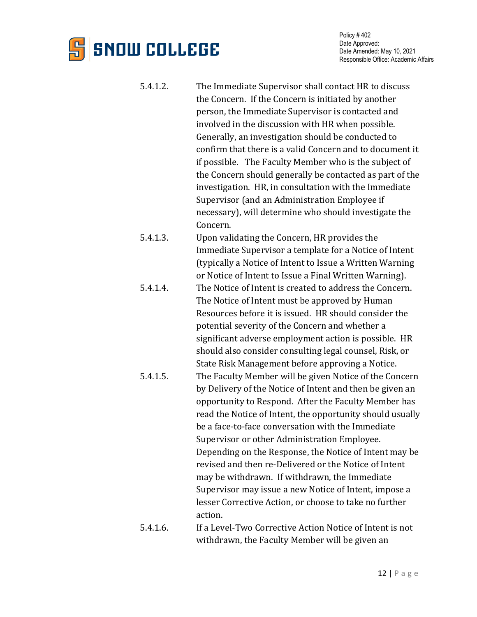# **SNOW COLLEGE**

- 5.4.1.2. The Immediate Supervisor shall contact HR to discuss the Concern. If the Concern is initiated by another person, the Immediate Supervisor is contacted and involved in the discussion with HR when possible. Generally, an investigation should be conducted to confirm that there is a valid Concern and to document it if possible. The Faculty Member who is the subject of the Concern should generally be contacted as part of the investigation. HR, in consultation with the Immediate Supervisor (and an Administration Employee if necessary), will determine who should investigate the Concern.
- 5.4.1.3. Upon validating the Concern, HR provides the Immediate Supervisor a template for a Notice of Intent (typically a Notice of Intent to Issue a Written Warning or Notice of Intent to Issue a Final Written Warning).
- 5.4.1.4. The Notice of Intent is created to address the Concern. The Notice of Intent must be approved by Human Resources before it is issued. HR should consider the potential severity of the Concern and whether a significant adverse employment action is possible. HR should also consider consulting legal counsel, Risk, or State Risk Management before approving a Notice.
- 5.4.1.5. The Faculty Member will be given Notice of the Concern by Delivery of the Notice of Intent and then be given an opportunity to Respond. After the Faculty Member has read the Notice of Intent, the opportunity should usually be a face-to-face conversation with the Immediate Supervisor or other Administration Employee. Depending on the Response, the Notice of Intent may be revised and then re-Delivered or the Notice of Intent may be withdrawn. If withdrawn, the Immediate Supervisor may issue a new Notice of Intent, impose a lesser Corrective Action, or choose to take no further action.
- 5.4.1.6. If a Level-Two Corrective Action Notice of Intent is not withdrawn, the Faculty Member will be given an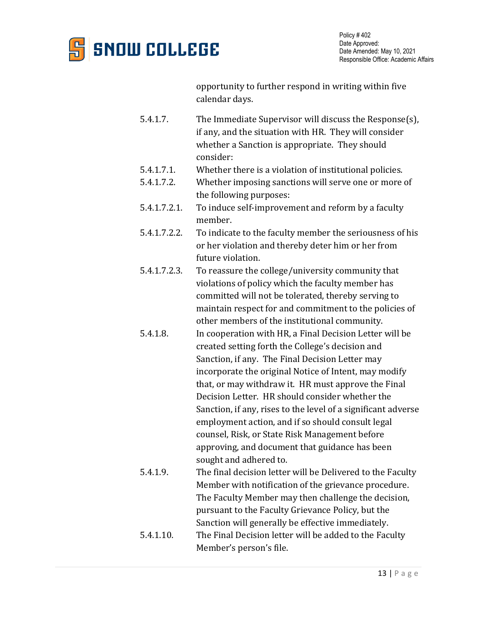

opportunity to further respond in writing within five calendar days.

- 5.4.1.7. The Immediate Supervisor will discuss the Response(s), if any, and the situation with HR. They will consider whether a Sanction is appropriate. They should consider:
- 5.4.1.7.1. Whether there is a violation of institutional policies.<br>5.4.1.7.2. Whether imposing sanctions will serve one or more
- Whether imposing sanctions will serve one or more of the following purposes:
- 5.4.1.7.2.1. To induce self-improvement and reform by a faculty member.
- 5.4.1.7.2.2. To indicate to the faculty member the seriousness of his or her violation and thereby deter him or her from future violation.
- 5.4.1.7.2.3. To reassure the college/university community that violations of policy which the faculty member has committed will not be tolerated, thereby serving to maintain respect for and commitment to the policies of other members of the institutional community.
- 5.4.1.8. In cooperation with HR, a Final Decision Letter will be created setting forth the College's decision and Sanction, if any. The Final Decision Letter may incorporate the original Notice of Intent, may modify that, or may withdraw it. HR must approve the Final Decision Letter. HR should consider whether the Sanction, if any, rises to the level of a significant adverse employment action, and if so should consult legal counsel, Risk, or State Risk Management before approving, and document that guidance has been sought and adhered to.
- 5.4.1.9. The final decision letter will be Delivered to the Faculty Member with notification of the grievance procedure. The Faculty Member may then challenge the decision, pursuant to the Faculty Grievance Policy, but the Sanction will generally be effective immediately.
- 5.4.1.10. The Final Decision letter will be added to the Faculty Member's person's file.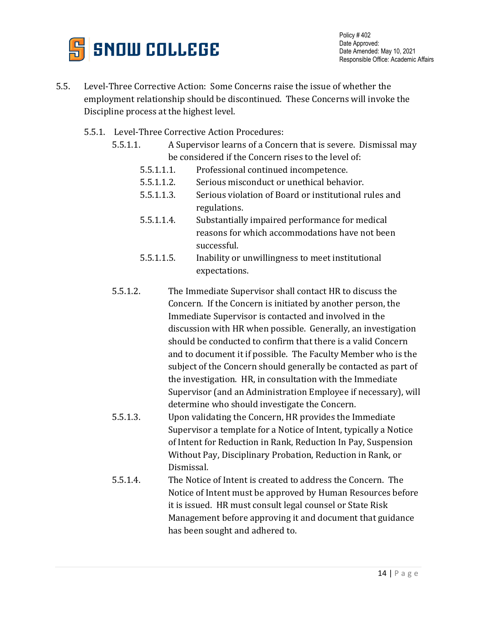

- 5.5. Level-Three Corrective Action: Some Concerns raise the issue of whether the employment relationship should be discontinued. These Concerns will invoke the Discipline process at the highest level.
	- 5.5.1. Level-Three Corrective Action Procedures:
		- 5.5.1.1. A Supervisor learns of a Concern that is severe. Dismissal may be considered if the Concern rises to the level of:
			- 5.5.1.1.1. Professional continued incompetence.
			- 5.5.1.1.2. Serious misconduct or unethical behavior.
			- 5.5.1.1.3. Serious violation of Board or institutional rules and regulations.
			- 5.5.1.1.4. Substantially impaired performance for medical reasons for which accommodations have not been successful.
			- 5.5.1.1.5. Inability or unwillingness to meet institutional expectations.
		- 5.5.1.2. The Immediate Supervisor shall contact HR to discuss the Concern. If the Concern is initiated by another person, the Immediate Supervisor is contacted and involved in the discussion with HR when possible. Generally, an investigation should be conducted to confirm that there is a valid Concern and to document it if possible. The Faculty Member who is the subject of the Concern should generally be contacted as part of the investigation. HR, in consultation with the Immediate Supervisor (and an Administration Employee if necessary), will determine who should investigate the Concern.
		- 5.5.1.3. Upon validating the Concern, HR provides the Immediate Supervisor a template for a Notice of Intent, typically a Notice of Intent for Reduction in Rank, Reduction In Pay, Suspension Without Pay, Disciplinary Probation, Reduction in Rank, or Dismissal.
		- 5.5.1.4. The Notice of Intent is created to address the Concern. The Notice of Intent must be approved by Human Resources before it is issued. HR must consult legal counsel or State Risk Management before approving it and document that guidance has been sought and adhered to.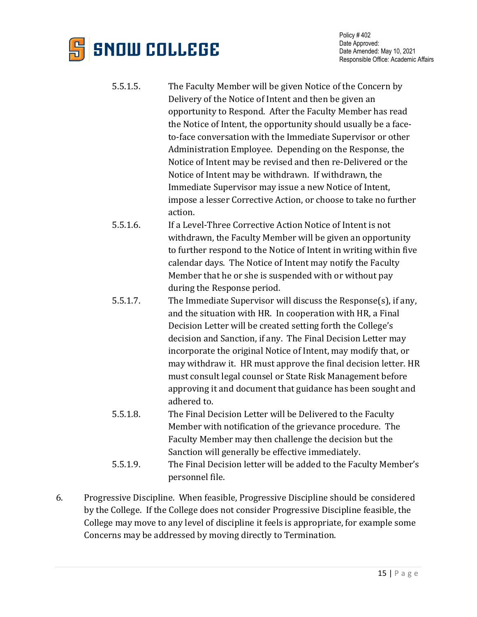

- 5.5.1.5. The Faculty Member will be given Notice of the Concern by Delivery of the Notice of Intent and then be given an opportunity to Respond. After the Faculty Member has read the Notice of Intent, the opportunity should usually be a faceto-face conversation with the Immediate Supervisor or other Administration Employee. Depending on the Response, the Notice of Intent may be revised and then re-Delivered or the Notice of Intent may be withdrawn. If withdrawn, the Immediate Supervisor may issue a new Notice of Intent, impose a lesser Corrective Action, or choose to take no further action.
- 5.5.1.6. If a Level-Three Corrective Action Notice of Intent is not withdrawn, the Faculty Member will be given an opportunity to further respond to the Notice of Intent in writing within five calendar days. The Notice of Intent may notify the Faculty Member that he or she is suspended with or without pay during the Response period.
- 5.5.1.7. The Immediate Supervisor will discuss the Response(s), if any, and the situation with HR. In cooperation with HR, a Final Decision Letter will be created setting forth the College's decision and Sanction, if any. The Final Decision Letter may incorporate the original Notice of Intent, may modify that, or may withdraw it. HR must approve the final decision letter. HR must consult legal counsel or State Risk Management before approving it and document that guidance has been sought and adhered to.
- 5.5.1.8. The Final Decision Letter will be Delivered to the Faculty Member with notification of the grievance procedure. The Faculty Member may then challenge the decision but the Sanction will generally be effective immediately.
- 5.5.1.9. The Final Decision letter will be added to the Faculty Member's personnel file.
- 6. Progressive Discipline. When feasible, Progressive Discipline should be considered by the College. If the College does not consider Progressive Discipline feasible, the College may move to any level of discipline it feels is appropriate, for example some Concerns may be addressed by moving directly to Termination.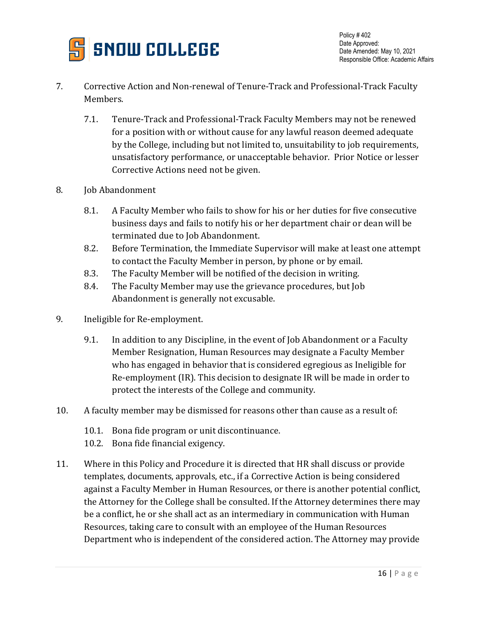

- 7. Corrective Action and Non-renewal of Tenure-Track and Professional-Track Faculty Members.
	- 7.1. Tenure-Track and Professional-Track Faculty Members may not be renewed for a position with or without cause for any lawful reason deemed adequate by the College, including but not limited to, unsuitability to job requirements, unsatisfactory performance, or unacceptable behavior. Prior Notice or lesser Corrective Actions need not be given.
- 8. Job Abandonment
	- 8.1. A Faculty Member who fails to show for his or her duties for five consecutive business days and fails to notify his or her department chair or dean will be terminated due to Job Abandonment.
	- 8.2. Before Termination, the Immediate Supervisor will make at least one attempt to contact the Faculty Member in person, by phone or by email.
	- 8.3. The Faculty Member will be notified of the decision in writing.
	- 8.4. The Faculty Member may use the grievance procedures, but Job Abandonment is generally not excusable.
- 9. Ineligible for Re-employment.
	- 9.1. In addition to any Discipline, in the event of Job Abandonment or a Faculty Member Resignation, Human Resources may designate a Faculty Member who has engaged in behavior that is considered egregious as Ineligible for Re-employment (IR). This decision to designate IR will be made in order to protect the interests of the College and community.
- 10. A faculty member may be dismissed for reasons other than cause as a result of:
	- 10.1. Bona fide program or unit discontinuance.
	- 10.2. Bona fide financial exigency.
- 11. Where in this Policy and Procedure it is directed that HR shall discuss or provide templates, documents, approvals, etc., if a Corrective Action is being considered against a Faculty Member in Human Resources, or there is another potential conflict, the Attorney for the College shall be consulted. If the Attorney determines there may be a conflict, he or she shall act as an intermediary in communication with Human Resources, taking care to consult with an employee of the Human Resources Department who is independent of the considered action. The Attorney may provide